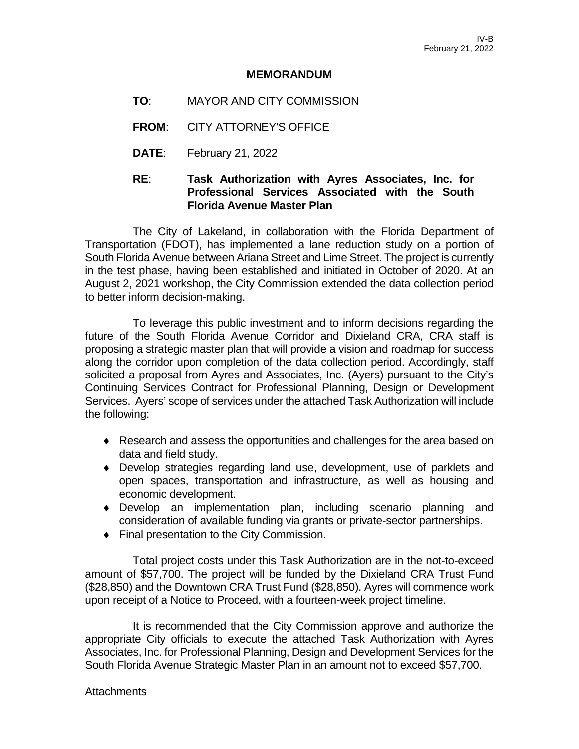## **MEMORANDUM**

- **TO**: MAYOR AND CITY COMMISSION
- **FROM**: CITY ATTORNEY'S OFFICE
- **DATE**: February 21, 2022

# **RE**: **Task Authorization with Ayres Associates, Inc. for Professional Services Associated with the South Florida Avenue Master Plan**

The City of Lakeland, in collaboration with the Florida Department of Transportation (FDOT), has implemented a lane reduction study on a portion of South Florida Avenue between Ariana Street and Lime Street. The project is currently in the test phase, having been established and initiated in October of 2020. At an August 2, 2021 workshop, the City Commission extended the data collection period to better inform decision-making.

To leverage this public investment and to inform decisions regarding the future of the South Florida Avenue Corridor and Dixieland CRA, CRA staff is proposing a strategic master plan that will provide a vision and roadmap for success along the corridor upon completion of the data collection period. Accordingly, staff solicited a proposal from Ayres and Associates, Inc. (Ayers) pursuant to the City's Continuing Services Contract for Professional Planning, Design or Development Services. Ayers' scope of services under the attached Task Authorization will include the following:

- ♦ Research and assess the opportunities and challenges for the area based on data and field study.
- ♦ Develop strategies regarding land use, development, use of parklets and open spaces, transportation and infrastructure, as well as housing and economic development.
- ♦ Develop an implementation plan, including scenario planning and consideration of available funding via grants or private-sector partnerships.
- ♦ Final presentation to the City Commission.

Total project costs under this Task Authorization are in the not-to-exceed amount of \$57,700. The project will be funded by the Dixieland CRA Trust Fund (\$28,850) and the Downtown CRA Trust Fund (\$28,850). Ayres will commence work upon receipt of a Notice to Proceed, with a fourteen-week project timeline.

It is recommended that the City Commission approve and authorize the appropriate City officials to execute the attached Task Authorization with Ayres Associates, Inc. for Professional Planning, Design and Development Services for the South Florida Avenue Strategic Master Plan in an amount not to exceed \$57,700.

**Attachments**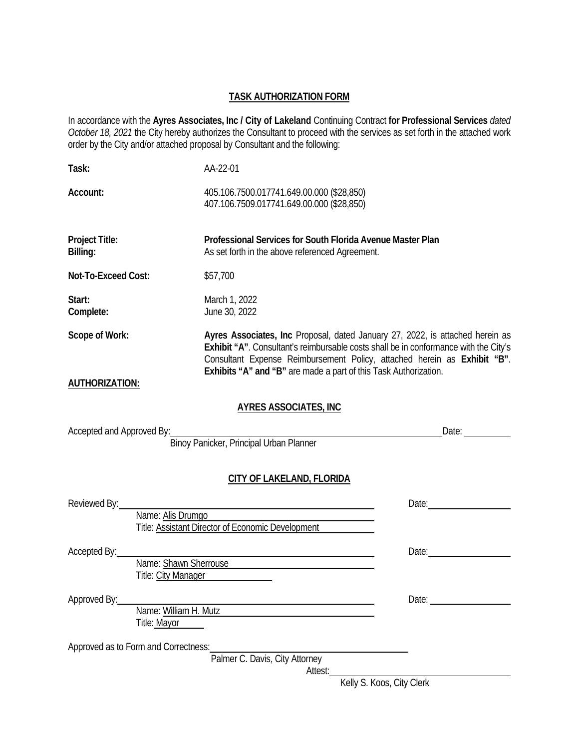## **TASK AUTHORIZATION FORM**

In accordance with the **Ayres Associates, Inc / City of Lakeland** Continuing Contract **for Professional Services** *dated October 18, 2021* the City hereby authorizes the Consultant to proceed with the services as set forth in the attached work order by the City and/or attached proposal by Consultant and the following:

| Task:                      |                                                                         | AA-22-01                                                                                                                                                                                                                                                                                                              |                           |  |  |  |  |  |  |
|----------------------------|-------------------------------------------------------------------------|-----------------------------------------------------------------------------------------------------------------------------------------------------------------------------------------------------------------------------------------------------------------------------------------------------------------------|---------------------------|--|--|--|--|--|--|
| Account:                   |                                                                         | 405.106.7500.017741.649.00.000 (\$28,850)<br>407.106.7509.017741.649.00.000 (\$28,850)                                                                                                                                                                                                                                |                           |  |  |  |  |  |  |
| Project Title:<br>Billing: |                                                                         | Professional Services for South Florida Avenue Master Plan<br>As set forth in the above referenced Agreement.                                                                                                                                                                                                         |                           |  |  |  |  |  |  |
| Not-To-Exceed Cost:        |                                                                         | \$57,700                                                                                                                                                                                                                                                                                                              |                           |  |  |  |  |  |  |
| Start:<br>Complete:        |                                                                         | March 1, 2022<br>June 30, 2022                                                                                                                                                                                                                                                                                        |                           |  |  |  |  |  |  |
| Scope of Work:             |                                                                         | Ayres Associates, Inc Proposal, dated January 27, 2022, is attached herein as<br>Exhibit "A". Consultant's reimbursable costs shall be in conformance with the City's<br>Consultant Expense Reimbursement Policy, attached herein as Exhibit "B".<br>Exhibits "A" and "B" are made a part of this Task Authorization. |                           |  |  |  |  |  |  |
| <b>AUTHORIZATION:</b>      |                                                                         |                                                                                                                                                                                                                                                                                                                       |                           |  |  |  |  |  |  |
|                            |                                                                         | <b>AYRES ASSOCIATES, INC.</b>                                                                                                                                                                                                                                                                                         |                           |  |  |  |  |  |  |
| Accepted and Approved By:  |                                                                         | :<br>Binoy Panicker, Principal Urban Planner                                                                                                                                                                                                                                                                          | Date:                     |  |  |  |  |  |  |
|                            |                                                                         | <b>CITY OF LAKELAND, FLORIDA</b>                                                                                                                                                                                                                                                                                      |                           |  |  |  |  |  |  |
| Reviewed By:               | Name: Alis Drumgo<br>Title: Assistant Director of Economic Development  | Date: and the contract of the contract of the contract of the contract of the contract of the contract of the contract of the contract of the contract of the contract of the contract of the contract of the contract of the                                                                                         |                           |  |  |  |  |  |  |
| Accepted By:               | Name: Shawn Sherrouse <b>Example 2018</b><br><b>Title: City Manager</b> | Date:                                                                                                                                                                                                                                                                                                                 |                           |  |  |  |  |  |  |
| Approved By:               | Name: William H. Mutz<br>Title: Mayor                                   |                                                                                                                                                                                                                                                                                                                       |                           |  |  |  |  |  |  |
|                            | Approved as to Form and Correctness:                                    | Palmer C. Davis, City Attorney                                                                                                                                                                                                                                                                                        |                           |  |  |  |  |  |  |
|                            |                                                                         | Attest:                                                                                                                                                                                                                                                                                                               | Kelly S. Koos, City Clerk |  |  |  |  |  |  |
|                            |                                                                         |                                                                                                                                                                                                                                                                                                                       |                           |  |  |  |  |  |  |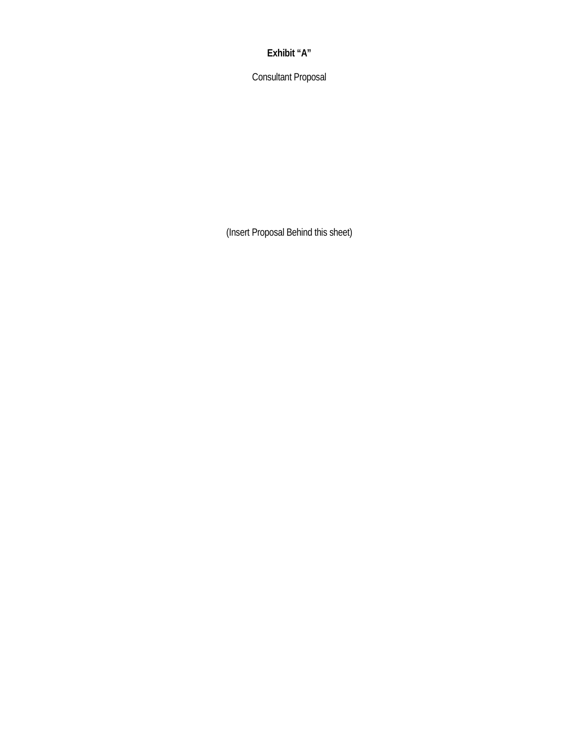## **Exhibit "A"**

Consultant Proposal

(Insert Proposal Behind this sheet)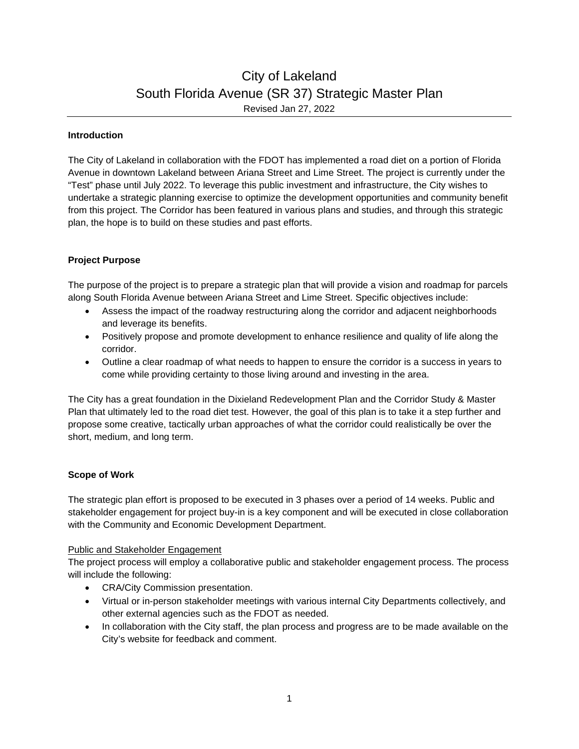# City of Lakeland South Florida Avenue (SR 37) Strategic Master Plan Revised Jan 27, 2022

#### **Introduction**

The City of Lakeland in collaboration with the FDOT has implemented a road diet on a portion of Florida Avenue in downtown Lakeland between Ariana Street and Lime Street. The project is currently under the "Test" phase until July 2022. To leverage this public investment and infrastructure, the City wishes to undertake a strategic planning exercise to optimize the development opportunities and community benefit from this project. The Corridor has been featured in various plans and studies, and through this strategic plan, the hope is to build on these studies and past efforts.

## **Project Purpose**

The purpose of the project is to prepare a strategic plan that will provide a vision and roadmap for parcels along South Florida Avenue between Ariana Street and Lime Street. Specific objectives include:

- Assess the impact of the roadway restructuring along the corridor and adjacent neighborhoods and leverage its benefits.
- Positively propose and promote development to enhance resilience and quality of life along the corridor.
- Outline a clear roadmap of what needs to happen to ensure the corridor is a success in years to come while providing certainty to those living around and investing in the area.

The City has a great foundation in the Dixieland Redevelopment Plan and the Corridor Study & Master Plan that ultimately led to the road diet test. However, the goal of this plan is to take it a step further and propose some creative, tactically urban approaches of what the corridor could realistically be over the short, medium, and long term.

## **Scope of Work**

The strategic plan effort is proposed to be executed in 3 phases over a period of 14 weeks. Public and stakeholder engagement for project buy-in is a key component and will be executed in close collaboration with the Community and Economic Development Department.

#### Public and Stakeholder Engagement

The project process will employ a collaborative public and stakeholder engagement process. The process will include the following:

- CRA/City Commission presentation.
- Virtual or in-person stakeholder meetings with various internal City Departments collectively, and other external agencies such as the FDOT as needed.
- In collaboration with the City staff, the plan process and progress are to be made available on the City's website for feedback and comment.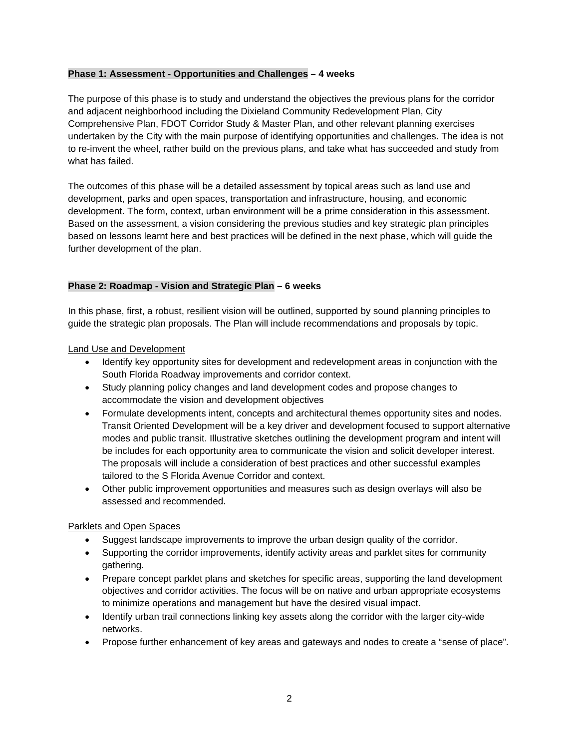#### **Phase 1: Assessment - Opportunities and Challenges – 4 weeks**

The purpose of this phase is to study and understand the objectives the previous plans for the corridor and adjacent neighborhood including the Dixieland Community Redevelopment Plan, City Comprehensive Plan, FDOT Corridor Study & Master Plan, and other relevant planning exercises undertaken by the City with the main purpose of identifying opportunities and challenges. The idea is not to re-invent the wheel, rather build on the previous plans, and take what has succeeded and study from what has failed.

The outcomes of this phase will be a detailed assessment by topical areas such as land use and development, parks and open spaces, transportation and infrastructure, housing, and economic development. The form, context, urban environment will be a prime consideration in this assessment. Based on the assessment, a vision considering the previous studies and key strategic plan principles based on lessons learnt here and best practices will be defined in the next phase, which will guide the further development of the plan.

#### **Phase 2: Roadmap - Vision and Strategic Plan – 6 weeks**

In this phase, first, a robust, resilient vision will be outlined, supported by sound planning principles to guide the strategic plan proposals. The Plan will include recommendations and proposals by topic.

Land Use and Development

- Identify key opportunity sites for development and redevelopment areas in conjunction with the South Florida Roadway improvements and corridor context.
- Study planning policy changes and land development codes and propose changes to accommodate the vision and development objectives
- Formulate developments intent, concepts and architectural themes opportunity sites and nodes. Transit Oriented Development will be a key driver and development focused to support alternative modes and public transit. Illustrative sketches outlining the development program and intent will be includes for each opportunity area to communicate the vision and solicit developer interest. The proposals will include a consideration of best practices and other successful examples tailored to the S Florida Avenue Corridor and context.
- Other public improvement opportunities and measures such as design overlays will also be assessed and recommended.

## Parklets and Open Spaces

- Suggest landscape improvements to improve the urban design quality of the corridor.
- Supporting the corridor improvements, identify activity areas and parklet sites for community gathering.
- Prepare concept parklet plans and sketches for specific areas, supporting the land development objectives and corridor activities. The focus will be on native and urban appropriate ecosystems to minimize operations and management but have the desired visual impact.
- Identify urban trail connections linking key assets along the corridor with the larger city-wide networks.
- Propose further enhancement of key areas and gateways and nodes to create a "sense of place".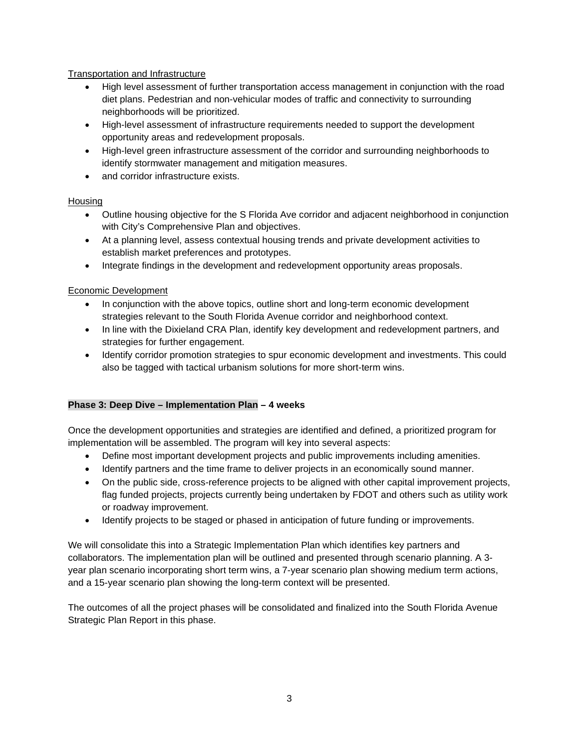## Transportation and Infrastructure

- High level assessment of further transportation access management in conjunction with the road diet plans. Pedestrian and non-vehicular modes of traffic and connectivity to surrounding neighborhoods will be prioritized.
- High-level assessment of infrastructure requirements needed to support the development opportunity areas and redevelopment proposals.
- High-level green infrastructure assessment of the corridor and surrounding neighborhoods to identify stormwater management and mitigation measures.
- and corridor infrastructure exists.

## **Housing**

- Outline housing objective for the S Florida Ave corridor and adjacent neighborhood in conjunction with City's Comprehensive Plan and objectives.
- At a planning level, assess contextual housing trends and private development activities to establish market preferences and prototypes.
- Integrate findings in the development and redevelopment opportunity areas proposals.

## Economic Development

- In conjunction with the above topics, outline short and long-term economic development strategies relevant to the South Florida Avenue corridor and neighborhood context.
- In line with the Dixieland CRA Plan, identify key development and redevelopment partners, and strategies for further engagement.
- Identify corridor promotion strategies to spur economic development and investments. This could also be tagged with tactical urbanism solutions for more short-term wins.

## **Phase 3: Deep Dive – Implementation Plan – 4 weeks**

Once the development opportunities and strategies are identified and defined, a prioritized program for implementation will be assembled. The program will key into several aspects:

- Define most important development projects and public improvements including amenities.
- Identify partners and the time frame to deliver projects in an economically sound manner.
- On the public side, cross-reference projects to be aligned with other capital improvement projects, flag funded projects, projects currently being undertaken by FDOT and others such as utility work or roadway improvement.
- Identify projects to be staged or phased in anticipation of future funding or improvements.

We will consolidate this into a Strategic Implementation Plan which identifies key partners and collaborators. The implementation plan will be outlined and presented through scenario planning. A 3 year plan scenario incorporating short term wins, a 7-year scenario plan showing medium term actions, and a 15-year scenario plan showing the long-term context will be presented.

The outcomes of all the project phases will be consolidated and finalized into the South Florida Avenue Strategic Plan Report in this phase.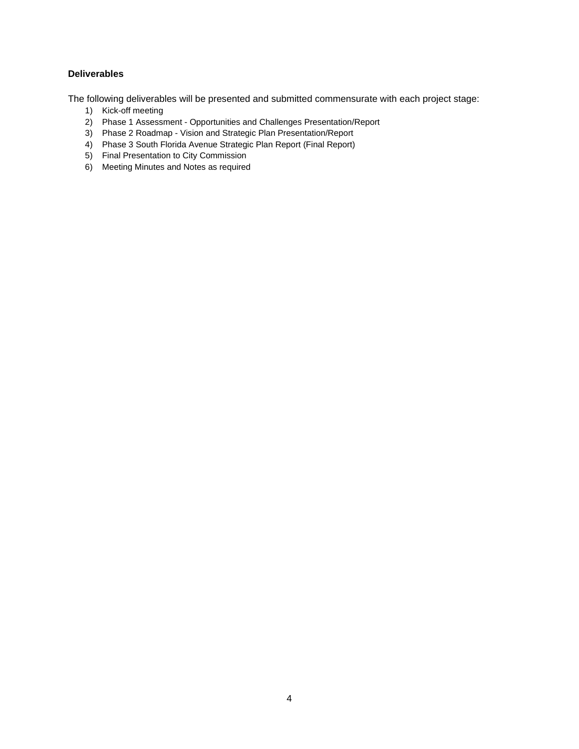## **Deliverables**

The following deliverables will be presented and submitted commensurate with each project stage:

- 1) Kick-off meeting
- 2) Phase 1 Assessment Opportunities and Challenges Presentation/Report
- 3) Phase 2 Roadmap Vision and Strategic Plan Presentation/Report
- 4) Phase 3 South Florida Avenue Strategic Plan Report (Final Report)
- 5) Final Presentation to City Commission
- 6) Meeting Minutes and Notes as required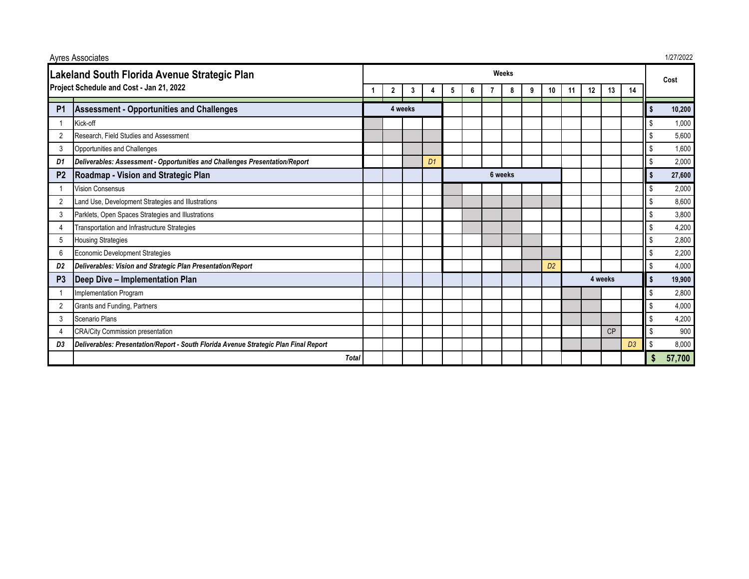| <b>Ayres Associates</b>                                                                  |                                                                                      |         |                |   |                |         |   |  |   |   |                |         | 1/27/2022 |    |                |                |        |
|------------------------------------------------------------------------------------------|--------------------------------------------------------------------------------------|---------|----------------|---|----------------|---------|---|--|---|---|----------------|---------|-----------|----|----------------|----------------|--------|
| Lakeland South Florida Avenue Strategic Plan<br>Project Schedule and Cost - Jan 21, 2022 |                                                                                      | Weeks   |                |   |                |         |   |  |   |   |                |         |           |    |                | Cost           |        |
|                                                                                          |                                                                                      |         | $\overline{2}$ | 3 |                | 5       | 6 |  | 8 | 9 | 10             | 11      | 12        | 13 | 14             |                |        |
| P <sub>1</sub>                                                                           | <b>Assessment - Opportunities and Challenges</b>                                     | 4 weeks |                |   |                |         |   |  |   |   |                |         |           |    |                | \$             | 10,200 |
|                                                                                          | Kick-off                                                                             |         |                |   |                |         |   |  |   |   |                |         |           |    |                | \$             | 1,000  |
| $\overline{2}$                                                                           | Research, Field Studies and Assessment                                               |         |                |   |                |         |   |  |   |   |                |         |           |    |                | \$             | 5,600  |
| 3                                                                                        | Opportunities and Challenges                                                         |         |                |   |                |         |   |  |   |   |                |         |           |    |                | \$             | 1,600  |
| D1                                                                                       | Deliverables: Assessment - Opportunities and Challenges Presentation/Report          |         |                |   | D <sub>1</sub> |         |   |  |   |   |                |         |           |    |                | \$             | 2,000  |
| P <sub>2</sub>                                                                           | Roadmap - Vision and Strategic Plan                                                  |         |                |   |                | 6 weeks |   |  |   |   |                |         |           |    |                | Ŝ.             | 27,600 |
|                                                                                          | <b>Vision Consensus</b>                                                              |         |                |   |                |         |   |  |   |   |                |         |           |    |                | \$             | 2,000  |
|                                                                                          | Land Use, Development Strategies and Illustrations                                   |         |                |   |                |         |   |  |   |   |                |         |           |    |                | \$             | 8,600  |
| 3                                                                                        | Parklets, Open Spaces Strategies and Illustrations                                   |         |                |   |                |         |   |  |   |   |                |         |           |    |                | \$             | 3,800  |
|                                                                                          | Transportation and Infrastructure Strategies                                         |         |                |   |                |         |   |  |   |   |                |         |           |    |                | \$             | 4,200  |
| 5                                                                                        | <b>Housing Strategies</b>                                                            |         |                |   |                |         |   |  |   |   |                |         |           |    |                | Ŝ.             | 2,800  |
| 6                                                                                        | Economic Development Strategies                                                      |         |                |   |                |         |   |  |   |   |                |         |           |    |                | Ŝ.             | 2,200  |
| D <sub>2</sub>                                                                           | Deliverables: Vision and Strategic Plan Presentation/Report                          |         |                |   |                |         |   |  |   |   | D <sub>2</sub> |         |           |    |                | l \$           | 4,000  |
| P <sub>3</sub>                                                                           | Deep Dive - Implementation Plan                                                      |         |                |   |                |         |   |  |   |   |                | 4 weeks |           | \$ | 19,900         |                |        |
|                                                                                          | Implementation Program                                                               |         |                |   |                |         |   |  |   |   |                |         |           |    |                | \$             | 2,800  |
| $\overline{2}$                                                                           | Grants and Funding, Partners                                                         |         |                |   |                |         |   |  |   |   |                |         |           |    |                | \$             | 4,000  |
| 3                                                                                        | Scenario Plans                                                                       |         |                |   |                |         |   |  |   |   |                |         |           |    |                | \$             | 4,200  |
| $\overline{4}$                                                                           | <b>CRA/City Commission presentation</b>                                              |         |                |   |                |         |   |  |   |   |                |         |           | CP |                | $\mathfrak{L}$ | 900    |
| D3                                                                                       | Deliverables: Presentation/Report - South Florida Avenue Strategic Plan Final Report |         |                |   |                |         |   |  |   |   |                |         |           |    | D <sub>3</sub> | \$.            | 8,000  |
|                                                                                          | <b>Total</b>                                                                         |         |                |   |                |         |   |  |   |   |                |         |           |    |                | S              | 57,700 |